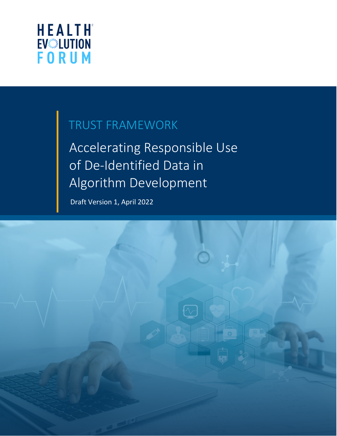

# TRUST FRAMEWORK

Accelerating Responsible Use of De-Identified Data in Algorithm Development

Draft Version 1, April 2022

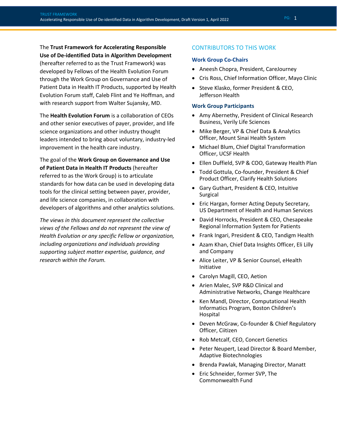The **Trust Framework for Accelerating Responsible Use of De-identified Data in Algorithm Development** (hereafter referred to as the Trust Framework) was developed by Fellows of the Health Evolution Forum through the Work Group on Governance and Use of Patient Data in Health IT Products, supported by Health Evolution Forum staff, Caleb Flint and Ye Hoffman, and with research support from Walter Sujansky, MD.

The **Health Evolution Forum** is a collaboration of CEOs and other senior executives of payer, provider, and life science organizations and other industry thought leaders intended to bring about voluntary, industry-led improvement in the health care industry.

The goal of the **Work Group on Governance and Use of Patient Data in Health IT Products** (hereafter referred to as the Work Group) is to articulate standards for how data can be used in developing data tools for the clinical setting between payer, provider, and life science companies, in collaboration with developers of algorithms and other analytics solutions.

*The views in this document represent the collective views of the Fellows and do not represent the view of Health Evolution or any specific Fellow or organization, including organizations and individuals providing supporting subject matter expertise, guidance, and research within the Forum.* 

#### CONTRIBUTORS TO THIS WORK

#### **Work Group Co-Chairs**

- Aneesh Chopra, President, CareJourney
- Cris Ross, Chief Information Officer, Mayo Clinic
- Steve Klasko, former President & CEO, Jefferson Health

#### **Work Group Participants**

- Amy Abernethy, President of Clinical Research Business, Verily Life Sciences
- Mike Berger, VP & Chief Data & Analytics Officer, Mount Sinai Health System
- Michael Blum, Chief Digital Transformation Officer, UCSF Health
- Ellen Duffield, SVP & COO, Gateway Health Plan
- Todd Gottula, Co-founder, President & Chief Product Officer, Clarify Health Solutions
- Gary Guthart, President & CEO, Intuitive Surgical
- Eric Hargan, former Acting Deputy Secretary, US Department of Health and Human Services
- David Horrocks, President & CEO, Chesapeake Regional Information System for Patients
- Frank Ingari, President & CEO, Tandigm Health
- Azam Khan, Chief Data Insights Officer, Eli Lilly and Company
- Alice Leiter, VP & Senior Counsel, eHealth Initiative
- Carolyn Magill, CEO, Aetion
- Arien Malec, SVP R&D Clinical and Administrative Networks, Change Healthcare
- Ken Mandl, Director, Computational Health Informatics Program, Boston Children's Hospital
- Deven McGraw, Co-founder & Chief Regulatory Officer, Ciitizen
- Rob Metcalf, CEO, Concert Genetics
- Peter Neupert, Lead Director & Board Member, Adaptive Biotechnologies
- Brenda Pawlak, Managing Director, Manatt
- Eric Schneider, former SVP, The Commonwealth Fund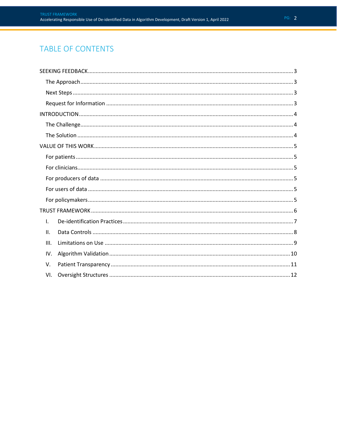## TABLE OF CONTENTS

| Ι.   |
|------|
| ΙΙ.  |
| III. |
| IV.  |
| V.   |
| VI.  |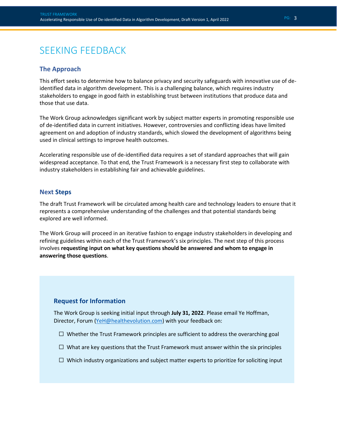## <span id="page-3-0"></span>SEEKING FEEDBACK

### <span id="page-3-1"></span>**The Approach**

This effort seeks to determine how to balance privacy and security safeguards with innovative use of deidentified data in algorithm development. This is a challenging balance, which requires industry stakeholders to engage in good faith in establishing trust between institutions that produce data and those that use data.

The Work Group acknowledges significant work by subject matter experts in promoting responsible use of de-identified data in current initiatives. However, controversies and conflicting ideas have limited agreement on and adoption of industry standards, which slowed the development of algorithms being used in clinical settings to improve health outcomes.

Accelerating responsible use of de-identified data requires a set of standard approaches that will gain widespread acceptance. To that end, the Trust Framework is a necessary first step to collaborate with industry stakeholders in establishing fair and achievable guidelines.

#### <span id="page-3-2"></span>**Next Steps**

The draft Trust Framework will be circulated among health care and technology leaders to ensure that it represents a comprehensive understanding of the challenges and that potential standards being explored are well informed.

The Work Group will proceed in an iterative fashion to engage industry stakeholders in developing and refining guidelines within each of the Trust Framework's six principles. The next step of this process involves **requesting input on what key questions should be answered and whom to engage in answering those questions**.

### **Request for Information**

The Work Group is seeking initial input through **July 31, 2022**. Please email Ye Hoffman, Director, Forum [\(YeH@healthevolution.com\)](mailto:YeH@healthevolution.com?subject=Feedback%20on%20Trust%20Framework) with your feedback on:

- $\Box$  Whether the Trust Framework principles are sufficient to address the overarching goal
- $\Box$  What are key questions that the Trust Framework must answer within the six principles
- $\Box$  Which industry organizations and subject matter experts to prioritize for soliciting input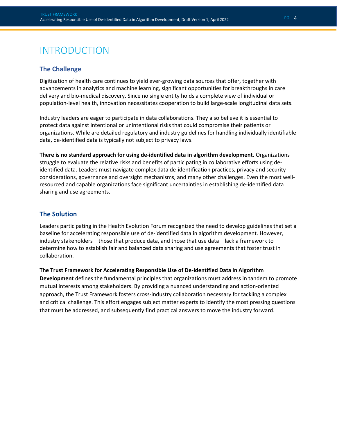## <span id="page-4-0"></span>INTRODUCTION

### <span id="page-4-1"></span>**The Challenge**

Digitization of health care continues to yield ever-growing data sources that offer, together with advancements in analytics and machine learning, significant opportunities for breakthroughs in care delivery and bio-medical discovery. Since no single entity holds a complete view of individual or population-level health, innovation necessitates cooperation to build large-scale longitudinal data sets.

Industry leaders are eager to participate in data collaborations. They also believe it is essential to protect data against intentional or unintentional risks that could compromise their patients or organizations. While are detailed regulatory and industry guidelines for handling individually identifiable data, de-identified data is typically not subject to privacy laws.

**There is no standard approach for using de-identified data in algorithm development.** Organizations struggle to evaluate the relative risks and benefits of participating in collaborative efforts using deidentified data. Leaders must navigate complex data de-identification practices, privacy and security considerations, governance and oversight mechanisms, and many other challenges. Even the most wellresourced and capable organizations face significant uncertainties in establishing de-identified data sharing and use agreements.

### <span id="page-4-2"></span>**The Solution**

Leaders participating in the Health Evolution Forum recognized the need to develop guidelines that set a baseline for accelerating responsible use of de-identified data in algorithm development. However, industry stakeholders – those that produce data, and those that use data – lack a framework to determine how to establish fair and balanced data sharing and use agreements that foster trust in collaboration.

#### **The Trust Framework for Accelerating Responsible Use of De-identified Data in Algorithm**

**Development** defines the fundamental principles that organizations must address in tandem to promote mutual interests among stakeholders. By providing a nuanced understanding and action-oriented approach, the Trust Framework fosters cross-industry collaboration necessary for tackling a complex and critical challenge. This effort engages subject matter experts to identify the most pressing questions that must be addressed, and subsequently find practical answers to move the industry forward.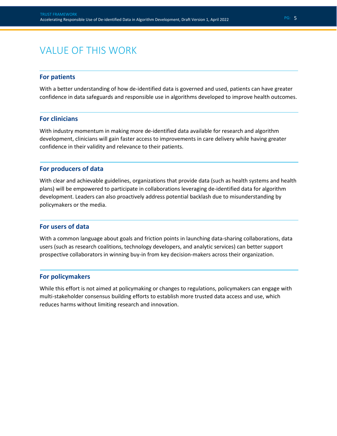## <span id="page-5-0"></span>VALUE OF THIS WORK

#### <span id="page-5-1"></span>**For patients**

With a better understanding of how de-identified data is governed and used, patients can have greater confidence in data safeguards and responsible use in algorithms developed to improve health outcomes.

#### <span id="page-5-2"></span>**For clinicians**

With industry momentum in making more de-identified data available for research and algorithm development, clinicians will gain faster access to improvements in care delivery while having greater confidence in their validity and relevance to their patients.

#### <span id="page-5-3"></span>**For producers of data**

With clear and achievable guidelines, organizations that provide data (such as health systems and health plans) will be empowered to participate in collaborations leveraging de-identified data for algorithm development. Leaders can also proactively address potential backlash due to misunderstanding by policymakers or the media.

#### <span id="page-5-4"></span>**For users of data**

With a common language about goals and friction points in launching data-sharing collaborations, data users (such as research coalitions, technology developers, and analytic services) can better support prospective collaborators in winning buy-in from key decision-makers across their organization.

#### <span id="page-5-5"></span>**For policymakers**

While this effort is not aimed at policymaking or changes to regulations, policymakers can engage with multi-stakeholder consensus building efforts to establish more trusted data access and use, which reduces harms without limiting research and innovation.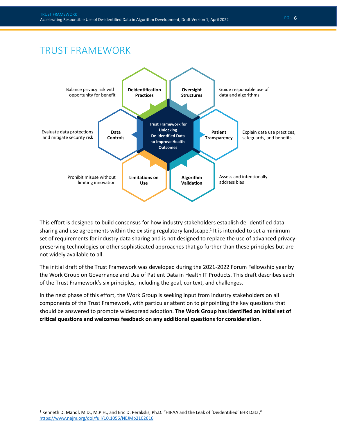## <span id="page-6-0"></span>TRUST FRAMEWORK



This effort is designed to build consensus for how industry stakeholders establish de-identified data sharing and use agreements within the existing regulatory landscape.<sup>1</sup> It is intended to set a minimum set of requirements for industry data sharing and is not designed to replace the use of advanced privacypreserving technologies or other sophisticated approaches that go further than these principles but are not widely available to all.

The initial draft of the Trust Framework was developed during the 2021-2022 Forum Fellowship year by the Work Group on Governance and Use of Patient Data in Health IT Products. This draft describes each of the Trust Framework's six principles, including the goal, context, and challenges.

In the next phase of this effort, the Work Group is seeking input from industry stakeholders on all components of the Trust Framework, with particular attention to pinpointing the key questions that should be answered to promote widespread adoption. **The Work Group has identified an initial set of critical questions and welcomes feedback on any additional questions for consideration.**

<sup>1</sup> Kenneth D. Mandl, M.D., M.P.H., and Eric D. Perakslis, Ph.D. "HIPAA and the Leak of 'Deidentified' EHR Data," <https://www.nejm.org/doi/full/10.1056/NEJMp2102616>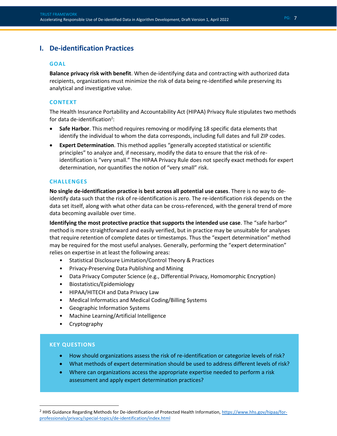## <span id="page-7-0"></span>**I. De-identification Practices**

#### **GOAL**

**Balance privacy risk with benefit**. When de-identifying data and contracting with authorized data recipients, organizations must minimize the risk of data being re-identified while preserving its analytical and investigative value.

#### **CONTEXT**

The Health Insurance Portability and Accountability Act (HIPAA) Privacy Rule stipulates two methods for data de-identification<sup>2</sup>:

- **Safe Harbor**. This method requires removing or modifying 18 specific data elements that identify the individual to whom the data corresponds, including full dates and full ZIP codes.
- **Expert Determination**. This method applies "generally accepted statistical or scientific principles" to analyze and, if necessary, modify the data to ensure that the risk of reidentification is "very small." The HIPAA Privacy Rule does not specify exact methods for expert determination, nor quantifies the notion of "very small" risk.

#### **CHALLENGES**

**No single de-identification practice is best across all potential use cases**. There is no way to deidentify data such that the risk of re-identification is zero. The re-identification risk depends on the data set itself, along with what other data can be cross-referenced, with the general trend of more data becoming available over time.

**Identifying the most protective practice that supports the intended use case**. The "safe harbor" method is more straightforward and easily verified, but in practice may be unsuitable for analyses that require retention of complete dates or timestamps. Thus the "expert determination" method may be required for the most useful analyses. Generally, performing the "expert determination" relies on expertise in at least the following areas:

- Statistical Disclosure Limitation/Control Theory & Practices
- Privacy-Preserving Data Publishing and Mining
- Data Privacy Computer Science (e.g., Differential Privacy, Homomorphic Encryption)
- Biostatistics/Epidemiology
- HIPAA/HITECH and Data Privacy Law
- Medical Informatics and Medical Coding/Billing Systems
- Geographic Information Systems
- Machine Learning/Artificial Intelligence
- Cryptography

- How should organizations assess the risk of re-identification or categorize levels of risk?
- What methods of expert determination should be used to address different levels of risk?
- Where can organizations access the appropriate expertise needed to perform a risk assessment and apply expert determination practices?

<sup>&</sup>lt;sup>2</sup> HHS Guidance Regarding Methods for De-identification of Protected Health Information[, https://www.hhs.gov/hipaa/for](https://www.hhs.gov/hipaa/for-professionals/privacy/special-topics/de-identification/index.html)[professionals/privacy/special-topics/de-identification/index.html](https://www.hhs.gov/hipaa/for-professionals/privacy/special-topics/de-identification/index.html)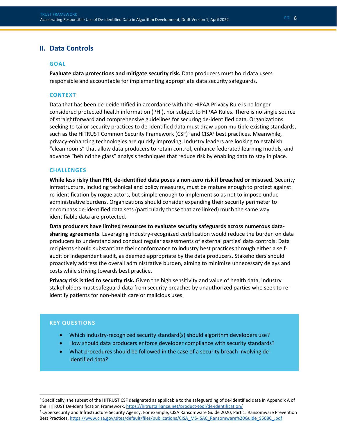### <span id="page-8-0"></span>**II. Data Controls**

#### **GOAL**

**Evaluate data protections and mitigate security risk.** Data producers must hold data users responsible and accountable for implementing appropriate data security safeguards.

#### **CONTEXT**

Data that has been de-deidentified in accordance with the HIPAA Privacy Rule is no longer considered protected health information (PHI), nor subject to HIPAA Rules. There is no single source of straightforward and comprehensive guidelines for securing de-identified data. Organizations seeking to tailor security practices to de-identified data must draw upon multiple existing standards, such as the HITRUST Common Security Framework (CSF)<sup>3</sup> and CISA<sup>4</sup> best practices. Meanwhile, privacy-enhancing technologies are quickly improving. Industry leaders are looking to establish "clean rooms" that allow data producers to retain control, enhance federated learning models, and advance "behind the glass" analysis techniques that reduce risk by enabling data to stay in place.

#### **CHALLENGES**

**While less risky than PHI, de-identified data poses a non-zero risk if breached or misused.** Security infrastructure, including technical and policy measures, must be mature enough to protect against re-identification by rogue actors, but simple enough to implement so as not to impose undue administrative burdens. Organizations should consider expanding their security perimeter to encompass de-identified data sets (particularly those that are linked) much the same way identifiable data are protected.

**Data producers have limited resources to evaluate security safeguards across numerous datasharing agreements**. Leveraging industry-recognized certification would reduce the burden on data producers to understand and conduct regular assessments of external parties' data controls. Data recipients should substantiate their conformance to industry best practices through either a selfaudit or independent audit, as deemed appropriate by the data producers. Stakeholders should proactively address the overall administrative burden, aiming to minimize unnecessary delays and costs while striving towards best practice.

**Privacy risk is tied to security risk.** Given the high sensitivity and value of health data, industry stakeholders must safeguard data from security breaches by unauthorized parties who seek to reidentify patients for non-health care or malicious uses.

- Which industry-recognized security standard(s) should algorithm developers use?
- How should data producers enforce developer compliance with security standards?
- What procedures should be followed in the case of a security breach involving deidentified data?

<sup>3</sup> Specifically, the subset of the HITRUST CSF designated as applicable to the safeguarding of de-identified data in Appendix A of the HITRUST De-Identification Framework[, https://hitrustalliance.net/product-tool/de-identification/](https://hitrustalliance.net/product-tool/de-identification/)

<sup>4</sup> Cybersecurity and Infrastructure Security Agency, For example, CISA Ransomware Guide 2020, Part 1: Ransomware Prevention Best Practices, [https://www.cisa.gov/sites/default/files/publications/CISA\\_MS-ISAC\\_Ransomware%20Guide\\_S508C\\_.pdf](https://www.cisa.gov/sites/default/files/publications/CISA_MS-ISAC_Ransomware%20Guide_S508C_.pdf)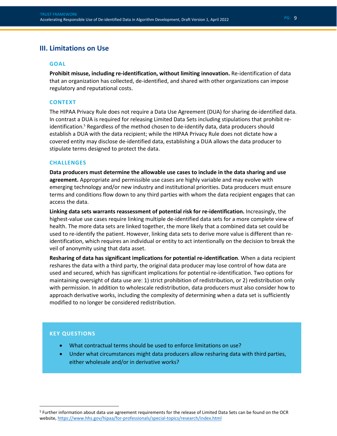## <span id="page-9-0"></span>**III. Limitations on Use**

#### **GOAL**

**Prohibit misuse, including re-identification, without limiting innovation.** Re-identification of data that an organization has collected, de-identified, and shared with other organizations can impose regulatory and reputational costs.

#### **CONTEXT**

The HIPAA Privacy Rule does not require a Data Use Agreement (DUA) for sharing de-identified data. In contrast a DUA is required for releasing Limited Data Sets including stipulations that prohibit reidentification. <sup>5</sup> Regardless of the method chosen to de-identify data, data producers should establish a DUA with the data recipient; while the HIPAA Privacy Rule does not dictate how a covered entity may disclose de-identified data, establishing a DUA allows the data producer to stipulate terms designed to protect the data.

#### **CHALLENGES**

**Data producers must determine the allowable use cases to include in the data sharing and use agreement.** Appropriate and permissible use cases are highly variable and may evolve with emerging technology and/or new industry and institutional priorities. Data producers must ensure terms and conditions flow down to any third parties with whom the data recipient engages that can access the data.

**Linking data sets warrants reassessment of potential risk for re-identification.** Increasingly, the highest-value use cases require linking multiple de-identified data sets for a more complete view of health. The more data sets are linked together, the more likely that a combined data set could be used to re-identify the patient. However, linking data sets to derive more value is different than reidentification, which requires an individual or entity to act intentionally on the decision to break the veil of anonymity using that data asset.

**Resharing of data has significant implications for potential re-identification**. When a data recipient reshares the data with a third party, the original data producer may lose control of how data are used and secured, which has significant implications for potential re-identification. Two options for maintaining oversight of data use are: 1) strict prohibition of redistribution, or 2) redistribution only with permission. In addition to wholescale redistribution, data producers must also consider how to approach derivative works, including the complexity of determining when a data set is sufficiently modified to no longer be considered redistribution.

- What contractual terms should be used to enforce limitations on use?
- Under what circumstances might data producers allow resharing data with third parties, either wholesale and/or in derivative works?

<sup>5</sup> Further information about data use agreement requirements for the release of Limited Data Sets can be found on the OCR website,<https://www.hhs.gov/hipaa/for-professionals/special-topics/research/index.html>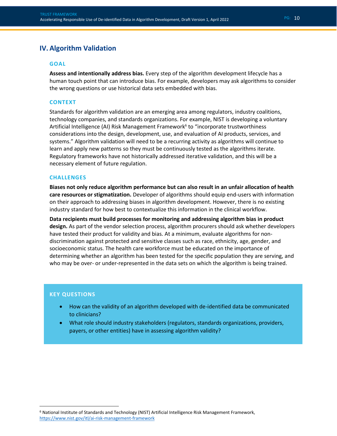## <span id="page-10-0"></span>**IV. Algorithm Validation**

#### **GOAL**

**Assess and intentionally address bias.** Every step of the algorithm development lifecycle has a human touch point that can introduce bias. For example, developers may ask algorithms to consider the wrong questions or use historical data sets embedded with bias.

#### **CONTEXT**

Standards for algorithm validation are an emerging area among regulators, industry coalitions, technology companies, and standards organizations. For example, NIST is developing a voluntary Artificial Intelligence (AI) Risk Management Framework<sup>6</sup> to "incorporate trustworthiness considerations into the design, development, use, and evaluation of AI products, services, and systems." Algorithm validation will need to be a recurring activity as algorithms will continue to learn and apply new patterns so they must be continuously tested as the algorithms iterate. Regulatory frameworks have not historically addressed iterative validation, and this will be a necessary element of future regulation.

#### **CHALLENGES**

**Biases not only reduce algorithm performance but can also result in an unfair allocation of health care resources or stigmatization.** Developer of algorithms should equip end-users with information on their approach to addressing biases in algorithm development. However, there is no existing industry standard for how best to contextualize this information in the clinical workflow.

**Data recipients must build processes for monitoring and addressing algorithm bias in product design.** As part of the vendor selection process, algorithm procurers should ask whether developers have tested their product for validity and bias. At a minimum, evaluate algorithms for nondiscrimination against protected and sensitive classes such as race, ethnicity, age, gender, and socioeconomic status. The health care workforce must be educated on the importance of determining whether an algorithm has been tested for the specific population they are serving, and who may be over- or under-represented in the data sets on which the algorithm is being trained.

#### **KEY QUESTIONS**

- How can the validity of an algorithm developed with de-identified data be communicated to clinicians?
- What role should industry stakeholders (regulators, standards organizations, providers, payers, or other entities) have in assessing algorithm validity?

PG: 10

<sup>6</sup> National Institute of Standards and Technology (NIST) Artificial Intelligence Risk Management Framework, <https://www.nist.gov/itl/ai-risk-management-framework>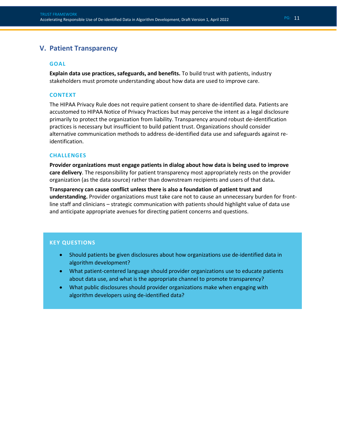## <span id="page-11-0"></span>**V. Patient Transparency**

#### **GOAL**

**Explain data use practices, safeguards, and benefits.** To build trust with patients, industry stakeholders must promote understanding about how data are used to improve care.

#### **CONTEXT**

The HIPAA Privacy Rule does not require patient consent to share de-identified data. Patients are accustomed to HIPAA Notice of Privacy Practices but may perceive the intent as a legal disclosure primarily to protect the organization from liability. Transparency around robust de-identification practices is necessary but insufficient to build patient trust. Organizations should consider alternative communication methods to address de-identified data use and safeguards against reidentification.

#### **CHALLENGES**

**Provider organizations must engage patients in dialog about how data is being used to improve care delivery**. The responsibility for patient transparency most appropriately rests on the provider organization (as the data source) rather than downstream recipients and users of that data**.**

**Transparency can cause conflict unless there is also a foundation of patient trust and understanding.** Provider organizations must take care not to cause an unnecessary burden for frontline staff and clinicians – strategic communication with patients should highlight value of data use and anticipate appropriate avenues for directing patient concerns and questions.

- Should patients be given disclosures about how organizations use de-identified data in algorithm development?
- What patient-centered language should provider organizations use to educate patients about data use, and what is the appropriate channel to promote transparency?
- What public disclosures should provider organizations make when engaging with algorithm developers using de-identified data?